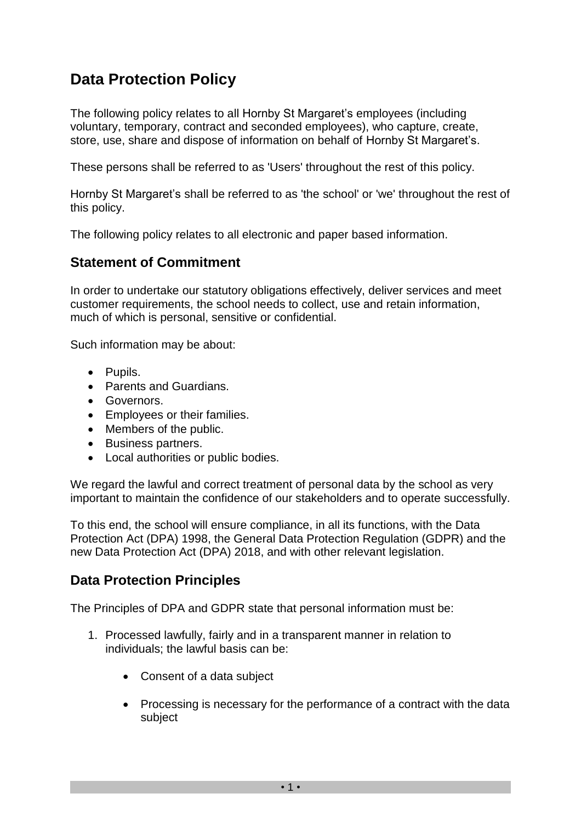# **Data Protection Policy**

The following policy relates to all Hornby St Margaret's employees (including voluntary, temporary, contract and seconded employees), who capture, create, store, use, share and dispose of information on behalf of Hornby St Margaret's.

These persons shall be referred to as 'Users' throughout the rest of this policy.

Hornby St Margaret's shall be referred to as 'the school' or 'we' throughout the rest of this policy.

The following policy relates to all electronic and paper based information.

### **Statement of Commitment**

In order to undertake our statutory obligations effectively, deliver services and meet customer requirements, the school needs to collect, use and retain information, much of which is personal, sensitive or confidential.

Such information may be about:

- Pupils.
- Parents and Guardians.
- Governors.
- Employees or their families.
- Members of the public.
- Business partners.
- Local authorities or public bodies.

We regard the lawful and correct treatment of personal data by the school as very important to maintain the confidence of our stakeholders and to operate successfully.

To this end, the school will ensure compliance, in all its functions, with the Data Protection Act (DPA) 1998, the General Data Protection Regulation (GDPR) and the new Data Protection Act (DPA) 2018, and with other relevant legislation.

#### **Data Protection Principles**

The Principles of DPA and GDPR state that personal information must be:

- 1. Processed lawfully, fairly and in a transparent manner in relation to individuals; the lawful basis can be:
	- Consent of a data subject
	- Processing is necessary for the performance of a contract with the data subject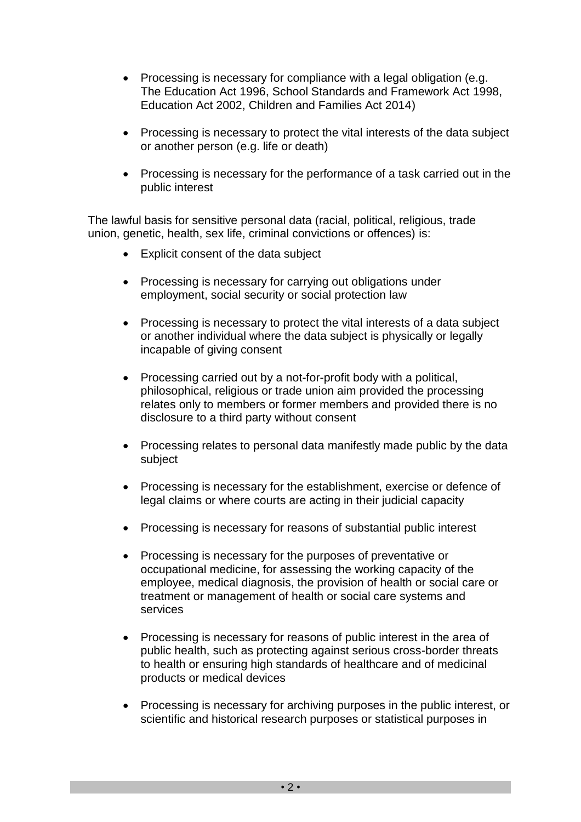- Processing is necessary for compliance with a legal obligation (e.g. The Education Act 1996, School Standards and Framework Act 1998, Education Act 2002, Children and Families Act 2014)
- Processing is necessary to protect the vital interests of the data subject or another person (e.g. life or death)
- Processing is necessary for the performance of a task carried out in the public interest

The lawful basis for sensitive personal data (racial, political, religious, trade union, genetic, health, sex life, criminal convictions or offences) is:

- Explicit consent of the data subject
- Processing is necessary for carrying out obligations under employment, social security or social protection law
- Processing is necessary to protect the vital interests of a data subject or another individual where the data subject is physically or legally incapable of giving consent
- Processing carried out by a not-for-profit body with a political, philosophical, religious or trade union aim provided the processing relates only to members or former members and provided there is no disclosure to a third party without consent
- Processing relates to personal data manifestly made public by the data subject
- Processing is necessary for the establishment, exercise or defence of legal claims or where courts are acting in their judicial capacity
- Processing is necessary for reasons of substantial public interest
- Processing is necessary for the purposes of preventative or occupational medicine, for assessing the working capacity of the employee, medical diagnosis, the provision of health or social care or treatment or management of health or social care systems and services
- Processing is necessary for reasons of public interest in the area of public health, such as protecting against serious cross-border threats to health or ensuring high standards of healthcare and of medicinal products or medical devices
- Processing is necessary for archiving purposes in the public interest, or scientific and historical research purposes or statistical purposes in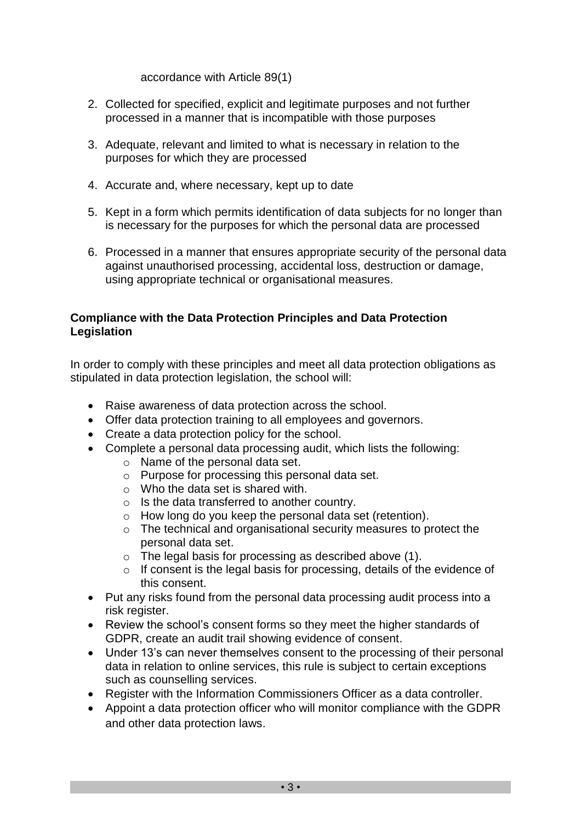accordance with Article 89(1)

- 2. Collected for specified, explicit and legitimate purposes and not further processed in a manner that is incompatible with those purposes
- 3. Adequate, relevant and limited to what is necessary in relation to the purposes for which they are processed
- 4. Accurate and, where necessary, kept up to date
- 5. Kept in a form which permits identification of data subjects for no longer than is necessary for the purposes for which the personal data are processed
- 6. Processed in a manner that ensures appropriate security of the personal data against unauthorised processing, accidental loss, destruction or damage, using appropriate technical or organisational measures.

#### **Compliance with the Data Protection Principles and Data Protection Legislation**

In order to comply with these principles and meet all data protection obligations as stipulated in data protection legislation, the school will:

- Raise awareness of data protection across the school.
- Offer data protection training to all employees and governors.
- Create a data protection policy for the school.
- Complete a personal data processing audit, which lists the following:
	- o Name of the personal data set.
	- o Purpose for processing this personal data set.
	- o Who the data set is shared with.
	- o Is the data transferred to another country.
	- o How long do you keep the personal data set (retention).
	- o The technical and organisational security measures to protect the personal data set.
	- o The legal basis for processing as described above (1).
	- $\circ$  If consent is the legal basis for processing, details of the evidence of this consent.
- Put any risks found from the personal data processing audit process into a risk register.
- Review the school's consent forms so they meet the higher standards of GDPR, create an audit trail showing evidence of consent.
- Under 13's can never themselves consent to the processing of their personal data in relation to online services, this rule is subject to certain exceptions such as counselling services.
- Register with the Information Commissioners Officer as a data controller.
- Appoint a data protection officer who will monitor compliance with the GDPR and other data protection laws.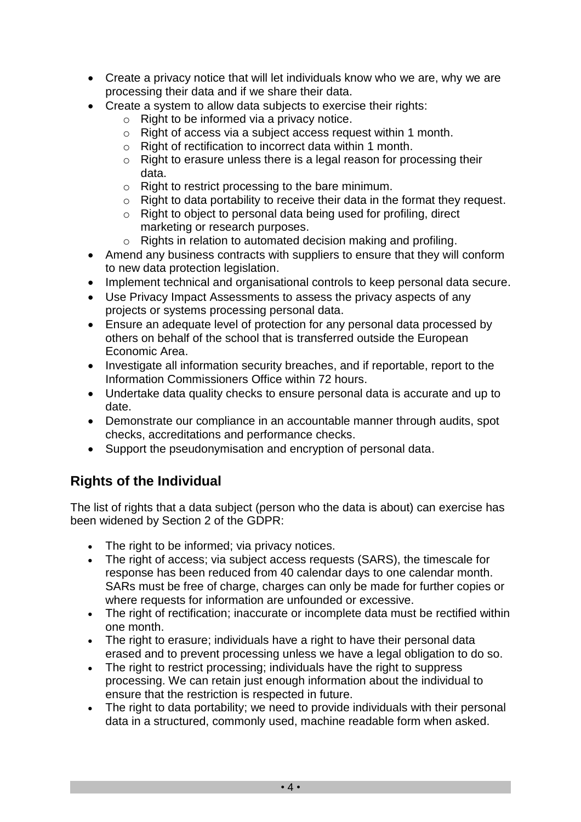- Create a privacy notice that will let individuals know who we are, why we are processing their data and if we share their data.
- Create a system to allow data subjects to exercise their rights:
	- $\circ$  Right to be informed via a privacy notice.
	- o Right of access via a subject access request within 1 month.
	- o Right of rectification to incorrect data within 1 month.
	- o Right to erasure unless there is a legal reason for processing their data.
	- o Right to restrict processing to the bare minimum.
	- o Right to data portability to receive their data in the format they request.
	- o Right to object to personal data being used for profiling, direct marketing or research purposes.
	- o Rights in relation to automated decision making and profiling.
- Amend any business contracts with suppliers to ensure that they will conform to new data protection legislation.
- Implement technical and organisational controls to keep personal data secure.
- Use Privacy Impact Assessments to assess the privacy aspects of any projects or systems processing personal data.
- Ensure an adequate level of protection for any personal data processed by others on behalf of the school that is transferred outside the European Economic Area.
- Investigate all information security breaches, and if reportable, report to the Information Commissioners Office within 72 hours.
- Undertake data quality checks to ensure personal data is accurate and up to date.
- Demonstrate our compliance in an accountable manner through audits, spot checks, accreditations and performance checks.
- Support the pseudonymisation and encryption of personal data.

## **Rights of the Individual**

The list of rights that a data subject (person who the data is about) can exercise has been widened by Section 2 of the GDPR:

- The right to be informed; via privacy notices.
- The right of access; via subject access requests (SARS), the timescale for response has been reduced from 40 calendar days to one calendar month. SARs must be free of charge, charges can only be made for further copies or where requests for information are unfounded or excessive.
- The right of rectification; inaccurate or incomplete data must be rectified within one month.
- The right to erasure; individuals have a right to have their personal data erased and to prevent processing unless we have a legal obligation to do so.
- The right to restrict processing; individuals have the right to suppress processing. We can retain just enough information about the individual to ensure that the restriction is respected in future.
- The right to data portability; we need to provide individuals with their personal data in a structured, commonly used, machine readable form when asked.